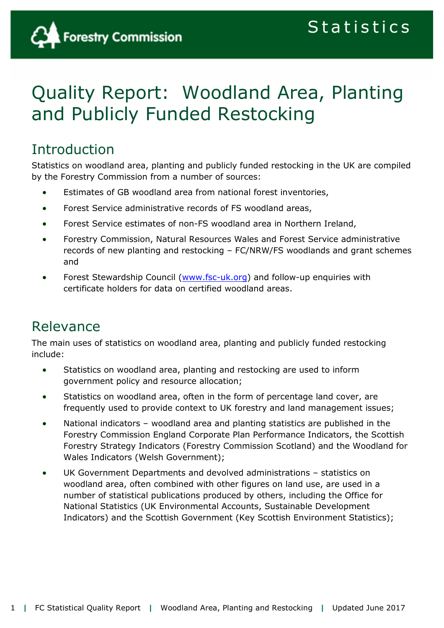

# Quality Report: Woodland Area, Planting and Publicly Funded Restocking

# Introduction

Statistics on woodland area, planting and publicly funded restocking in the UK are compiled by the Forestry Commission from a number of sources:

- Estimates of GB woodland area from national forest inventories,
- Forest Service administrative records of FS woodland areas,
- Forest Service estimates of non-FS woodland area in Northern Ireland,
- Forestry Commission, Natural Resources Wales and Forest Service administrative records of new planting and restocking – FC/NRW/FS woodlands and grant schemes and
- Forest Stewardship Council [\(www.fsc-uk.org\)](http://www.fsc-uk.org/) and follow-up enquiries with certificate holders for data on certified woodland areas.

# Relevance

The main uses of statistics on woodland area, planting and publicly funded restocking include:

- Statistics on woodland area, planting and restocking are used to inform government policy and resource allocation;
- Statistics on woodland area, often in the form of percentage land cover, are frequently used to provide context to UK forestry and land management issues;
- National indicators woodland area and planting statistics are published in the Forestry Commission England Corporate Plan Performance Indicators, the Scottish Forestry Strategy Indicators (Forestry Commission Scotland) and the Woodland for Wales Indicators (Welsh Government);
- UK Government Departments and devolved administrations statistics on woodland area, often combined with other figures on land use, are used in a number of statistical publications produced by others, including the Office for National Statistics (UK Environmental Accounts, Sustainable Development Indicators) and the Scottish Government (Key Scottish Environment Statistics);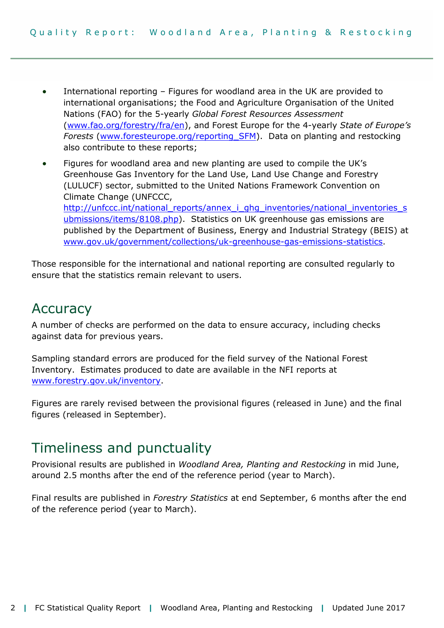- International reporting Figures for woodland area in the UK are provided to international organisations; the Food and Agriculture Organisation of the United Nations (FAO) for the 5-yearly *Global Forest Resources Assessment* [\(www.fao.org/forestry/fra/en\)](http://www.fao.org/forestry/fra/en), and Forest Europe for the 4-yearly *State of Europe's Forests* [\(www.foresteurope.org/reporting\\_SFM\)](http://www.foresteurope.org/reporting_SFM). Data on planting and restocking also contribute to these reports;
- Figures for woodland area and new planting are used to compile the UK's Greenhouse Gas Inventory for the Land Use, Land Use Change and Forestry (LULUCF) sector, submitted to the United Nations Framework Convention on Climate Change (UNFCCC, [http://unfccc.int/national\\_reports/annex\\_i\\_ghg\\_inventories/national\\_inventories\\_s](http://unfccc.int/national_reports/annex_i_ghg_inventories/national_inventories_submissions/items/8108.php) [ubmissions/items/8108.php\)](http://unfccc.int/national_reports/annex_i_ghg_inventories/national_inventories_submissions/items/8108.php). Statistics on UK greenhouse gas emissions are published by the Department of Business, Energy and Industrial Strategy (BEIS) at [www.gov.uk/government/collections/uk-greenhouse-gas-emissions-statistics](http://www.gov.uk/government/collections/uk-greenhouse-gas-emissions-statistics).

Those responsible for the international and national reporting are consulted regularly to ensure that the statistics remain relevant to users.

# Accuracy

A number of checks are performed on the data to ensure accuracy, including checks against data for previous years.

Sampling standard errors are produced for the field survey of the National Forest Inventory. Estimates produced to date are available in the NFI reports at [www.forestry.gov.uk/inventory.](http://www.forestry.gov.uk/inventory)

Figures are rarely revised between the provisional figures (released in June) and the final figures (released in September).

# Timeliness and punctuality

Provisional results are published in *Woodland Area, Planting and Restocking* in mid June, around 2.5 months after the end of the reference period (year to March).

Final results are published in *Forestry Statistics* at end September, 6 months after the end of the reference period (year to March).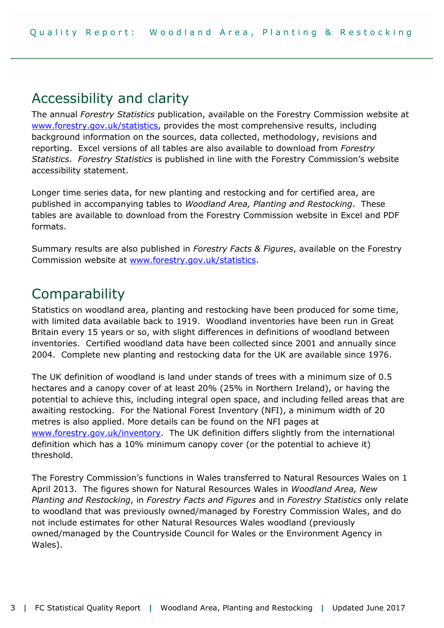# Accessibility and clarity

The annual *Forestry Statistics* publication, available on the Forestry Commission website at [www.forestry.gov.uk/statistics,](http://www.forestry.gov.uk/statistics) provides the most comprehensive results, including background information on the sources, data collected, methodology, revisions and reporting. Excel versions of all tables are also available to download from *Forestry Statistics*. *Forestry Statistics* is published in line with the Forestry Commission's website accessibility statement.

Longer time series data, for new planting and restocking and for certified area, are published in accompanying tables to *Woodland Area, Planting and Restocking*. These tables are available to download from the Forestry Commission website in Excel and PDF formats.

Summary results are also published in *Forestry Facts & Figures*, available on the Forestry Commission website at [www.forestry.gov.uk/statistics.](http://www.forestry.gov.uk/statistics)

# **Comparability**

Statistics on woodland area, planting and restocking have been produced for some time, with limited data available back to 1919. Woodland inventories have been run in Great Britain every 15 years or so, with slight differences in definitions of woodland between inventories. Certified woodland data have been collected since 2001 and annually since 2004. Complete new planting and restocking data for the UK are available since 1976.

The UK definition of woodland is land under stands of trees with a minimum size of 0.5 hectares and a canopy cover of at least 20% (25% in Northern Ireland), or having the potential to achieve this, including integral open space, and including felled areas that are awaiting restocking. For the National Forest Inventory (NFI), a minimum width of 20 metres is also applied. More details can be found on the NFI pages at [www.forestry.gov.uk/inventory.](http://www.forestry.gov.uk/inventory) The UK definition differs slightly from the international definition which has a 10% minimum canopy cover (or the potential to achieve it) threshold.

The Forestry Commission's functions in Wales transferred to Natural Resources Wales on 1 April 2013. The figures shown for Natural Resources Wales in *Woodland Area, New Planting and Restocking*, in *Forestry Facts and Figures* and in *Forestry Statistics* only relate to woodland that was previously owned/managed by Forestry Commission Wales, and do not include estimates for other Natural Resources Wales woodland (previously owned/managed by the Countryside Council for Wales or the Environment Agency in Wales).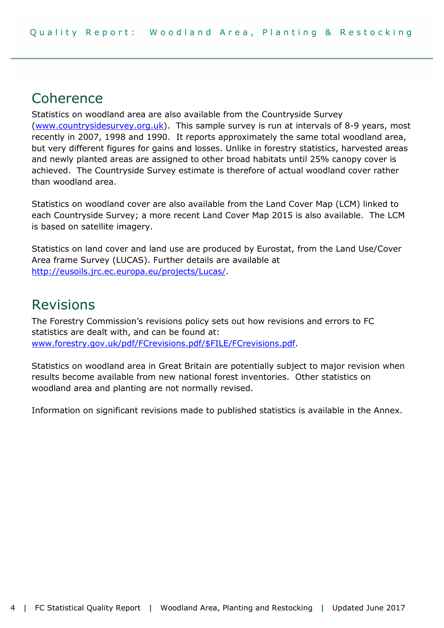## Coherence

Statistics on woodland area are also available from the Countryside Survey [\(www.countrysidesurvey.org.uk\)](http://www.countrysidesurvey.org.uk/). This sample survey is run at intervals of 8-9 years, most recently in 2007, 1998 and 1990. It reports approximately the same total woodland area, but very different figures for gains and losses. Unlike in forestry statistics, harvested areas and newly planted areas are assigned to other broad habitats until 25% canopy cover is achieved. The Countryside Survey estimate is therefore of actual woodland cover rather than woodland area.

Statistics on woodland cover are also available from the Land Cover Map (LCM) linked to each Countryside Survey; a more recent Land Cover Map 2015 is also available. The LCM is based on satellite imagery.

Statistics on land cover and land use are produced by Eurostat, from the Land Use/Cover Area frame Survey (LUCAS). Further details are available at [http://eusoils.jrc.ec.europa.eu/projects/Lucas/.](http://eusoils.jrc.ec.europa.eu/projects/Lucas/)

### Revisions

The Forestry Commission's revisions policy sets out how revisions and errors to FC statistics are dealt with, and can be found at: [www.forestry.gov.uk/pdf/FCrevisions.pdf/\\$FILE/FCrevisions.pdf.](http://www.forestry.gov.uk/pdf/FCrevisions.pdf/$FILE/FCrevisions.pdf)

Statistics on woodland area in Great Britain are potentially subject to major revision when results become available from new national forest inventories. Other statistics on woodland area and planting are not normally revised.

Information on significant revisions made to published statistics is available in the Annex.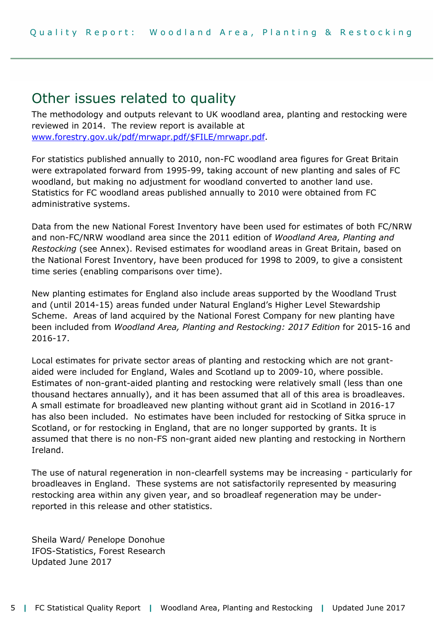# Other issues related to quality

The methodology and outputs relevant to UK woodland area, planting and restocking were reviewed in 2014. The review report is available at [www.forestry.gov.uk/pdf/mrwapr.pdf/\\$FILE/mrwapr.pdf.](http://www.forestry.gov.uk/pdf/mrwapr.pdf/$FILE/mrwapr.pdf)

For statistics published annually to 2010, non-FC woodland area figures for Great Britain were extrapolated forward from 1995-99, taking account of new planting and sales of FC woodland, but making no adjustment for woodland converted to another land use. Statistics for FC woodland areas published annually to 2010 were obtained from FC administrative systems.

Data from the new National Forest Inventory have been used for estimates of both FC/NRW and non-FC/NRW woodland area since the 2011 edition of *Woodland Area, Planting and Restocking* (see Annex). Revised estimates for woodland areas in Great Britain, based on the National Forest Inventory, have been produced for 1998 to 2009, to give a consistent time series (enabling comparisons over time).

New planting estimates for England also include areas supported by the Woodland Trust and (until 2014-15) areas funded under Natural England's Higher Level Stewardship Scheme. Areas of land acquired by the National Forest Company for new planting have been included from *Woodland Area, Planting and Restocking: 2017 Edition* for 2015-16 and 2016-17.

Local estimates for private sector areas of planting and restocking which are not grantaided were included for England, Wales and Scotland up to 2009-10, where possible. Estimates of non-grant-aided planting and restocking were relatively small (less than one thousand hectares annually), and it has been assumed that all of this area is broadleaves. A small estimate for broadleaved new planting without grant aid in Scotland in 2016-17 has also been included. No estimates have been included for restocking of Sitka spruce in Scotland, or for restocking in England, that are no longer supported by grants. It is assumed that there is no non-FS non-grant aided new planting and restocking in Northern Ireland.

The use of natural regeneration in non-clearfell systems may be increasing - particularly for broadleaves in England. These systems are not satisfactorily represented by measuring restocking area within any given year, and so broadleaf regeneration may be underreported in this release and other statistics.

Sheila Ward/ Penelope Donohue IFOS-Statistics, Forest Research Updated June 2017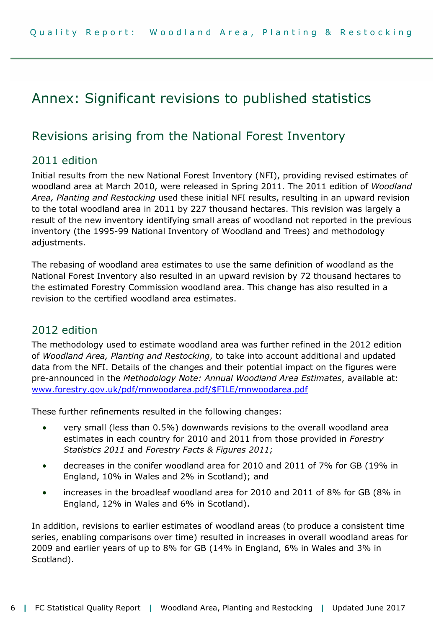# Annex: Significant revisions to published statistics

### Revisions arising from the National Forest Inventory

### 2011 edition

Initial results from the new National Forest Inventory (NFI), providing revised estimates of woodland area at March 2010, were released in Spring 2011. The 2011 edition of *Woodland*  Area, Planting and Restocking used these initial NFI results, resulting in an upward revision to the total woodland area in 2011 by 227 thousand hectares. This revision was largely a result of the new inventory identifying small areas of woodland not reported in the previous inventory (the 1995-99 National Inventory of Woodland and Trees) and methodology adjustments.

The rebasing of woodland area estimates to use the same definition of woodland as the National Forest Inventory also resulted in an upward revision by 72 thousand hectares to the estimated Forestry Commission woodland area. This change has also resulted in a revision to the certified woodland area estimates.

### 2012 edition

The methodology used to estimate woodland area was further refined in the 2012 edition of *Woodland Area, Planting and Restocking*, to take into account additional and updated data from the NFI. Details of the changes and their potential impact on the figures were pre-announced in the *Methodology Note: Annual Woodland Area Estimates*, available at: [www.forestry.gov.uk/pdf/mnwoodarea.pdf/\\$FILE/mnwoodarea.pdf](http://www.forestry.gov.uk/pdf/mnwoodarea.pdf/$FILE/mnwoodarea.pdf)

These further refinements resulted in the following changes:

- very small (less than 0.5%) downwards revisions to the overall woodland area estimates in each country for 2010 and 2011 from those provided in *Forestry Statistics 2011* and *Forestry Facts & Figures 2011;*
- decreases in the conifer woodland area for 2010 and 2011 of 7% for GB (19% in England, 10% in Wales and 2% in Scotland); and
- increases in the broadleaf woodland area for 2010 and 2011 of 8% for GB (8% in England, 12% in Wales and 6% in Scotland).

In addition, revisions to earlier estimates of woodland areas (to produce a consistent time series, enabling comparisons over time) resulted in increases in overall woodland areas for 2009 and earlier years of up to 8% for GB (14% in England, 6% in Wales and 3% in Scotland).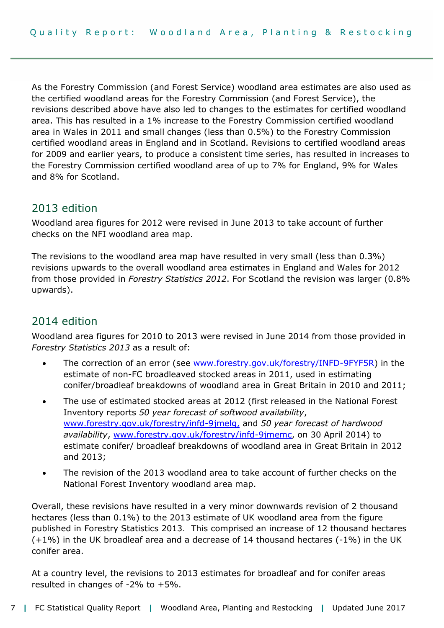As the Forestry Commission (and Forest Service) woodland area estimates are also used as the certified woodland areas for the Forestry Commission (and Forest Service), the revisions described above have also led to changes to the estimates for certified woodland area. This has resulted in a 1% increase to the Forestry Commission certified woodland area in Wales in 2011 and small changes (less than 0.5%) to the Forestry Commission certified woodland areas in England and in Scotland. Revisions to certified woodland areas for 2009 and earlier years, to produce a consistent time series, has resulted in increases to the Forestry Commission certified woodland area of up to 7% for England, 9% for Wales and 8% for Scotland.

#### 2013 edition

Woodland area figures for 2012 were revised in June 2013 to take account of further checks on the NFI woodland area map.

The revisions to the woodland area map have resulted in very small (less than 0.3%) revisions upwards to the overall woodland area estimates in England and Wales for 2012 from those provided in *Forestry Statistics 2012*. For Scotland the revision was larger (0.8% upwards).

### 2014 edition

Woodland area figures for 2010 to 2013 were revised in June 2014 from those provided in *Forestry Statistics 2013* as a result of:

- The correction of an error (see [www.forestry.gov.uk/forestry/INFD-9FYF5R\)](http://www.forestry.gov.uk/forestry/INFD-9FYF5R) in the estimate of non-FC broadleaved stocked areas in 2011, used in estimating conifer/broadleaf breakdowns of woodland area in Great Britain in 2010 and 2011;
- The use of estimated stocked areas at 2012 (first released in the National Forest Inventory reports *50 year forecast of softwood availability*, [www.forestry.gov.uk/forestry/infd-9jmelg,](http://www.forestry.gov.uk/forestry/infd-9jmelg) and *50 year forecast of hardwood availability*, [www.forestry.gov.uk/forestry/infd-9jmemc,](http://www.forestry.gov.uk/forestry/infd-9jmemc) on 30 April 2014) to estimate conifer/ broadleaf breakdowns of woodland area in Great Britain in 2012 and 2013;
- The revision of the 2013 woodland area to take account of further checks on the National Forest Inventory woodland area map.

Overall, these revisions have resulted in a very minor downwards revision of 2 thousand hectares (less than 0.1%) to the 2013 estimate of UK woodland area from the figure published in Forestry Statistics 2013. This comprised an increase of 12 thousand hectares (+1%) in the UK broadleaf area and a decrease of 14 thousand hectares (-1%) in the UK conifer area.

At a country level, the revisions to 2013 estimates for broadleaf and for conifer areas resulted in changes of  $-2\%$  to  $+5\%$ .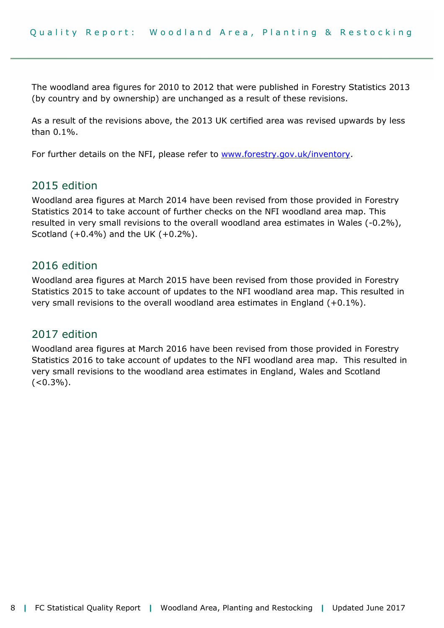The woodland area figures for 2010 to 2012 that were published in Forestry Statistics 2013 (by country and by ownership) are unchanged as a result of these revisions.

As a result of the revisions above, the 2013 UK certified area was revised upwards by less than 0.1%.

For further details on the NFI, please refer to [www.forestry.gov.uk/inventory.](http://www.forestry.gov.uk/inventory)

#### 2015 edition

Woodland area figures at March 2014 have been revised from those provided in Forestry Statistics 2014 to take account of further checks on the NFI woodland area map. This resulted in very small revisions to the overall woodland area estimates in Wales (-0.2%), Scotland  $(+0.4\%)$  and the UK  $(+0.2\%)$ .

#### 2016 edition

Woodland area figures at March 2015 have been revised from those provided in Forestry Statistics 2015 to take account of updates to the NFI woodland area map. This resulted in very small revisions to the overall woodland area estimates in England (+0.1%).

### 2017 edition

Woodland area figures at March 2016 have been revised from those provided in Forestry Statistics 2016 to take account of updates to the NFI woodland area map. This resulted in very small revisions to the woodland area estimates in England, Wales and Scotland  $(<0.3\%)$ .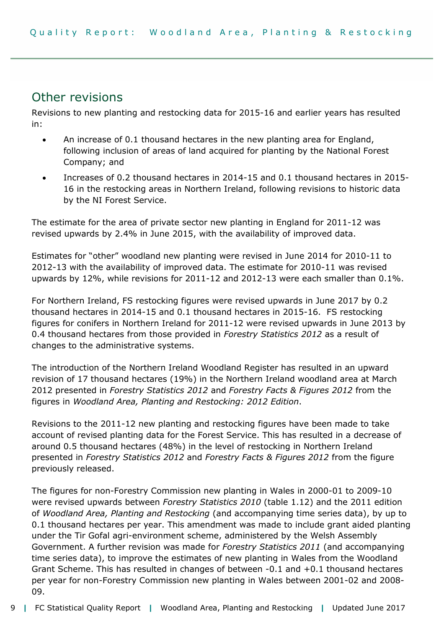### Other revisions

Revisions to new planting and restocking data for 2015-16 and earlier years has resulted in:

- An increase of 0.1 thousand hectares in the new planting area for England, following inclusion of areas of land acquired for planting by the National Forest Company; and
- Increases of 0.2 thousand hectares in 2014-15 and 0.1 thousand hectares in 2015- 16 in the restocking areas in Northern Ireland, following revisions to historic data by the NI Forest Service.

The estimate for the area of private sector new planting in England for 2011-12 was revised upwards by 2.4% in June 2015, with the availability of improved data.

Estimates for "other" woodland new planting were revised in June 2014 for 2010-11 to 2012-13 with the availability of improved data. The estimate for 2010-11 was revised upwards by 12%, while revisions for 2011-12 and 2012-13 were each smaller than 0.1%.

For Northern Ireland, FS restocking figures were revised upwards in June 2017 by 0.2 thousand hectares in 2014-15 and 0.1 thousand hectares in 2015-16. FS restocking figures for conifers in Northern Ireland for 2011-12 were revised upwards in June 2013 by 0.4 thousand hectares from those provided in *Forestry Statistics 2012* as a result of changes to the administrative systems.

The introduction of the Northern Ireland Woodland Register has resulted in an upward revision of 17 thousand hectares (19%) in the Northern Ireland woodland area at March 2012 presented in *Forestry Statistics 2012* and *Forestry Facts & Figures 2012* from the figures in *Woodland Area, Planting and Restocking: 2012 Edition*.

Revisions to the 2011-12 new planting and restocking figures have been made to take account of revised planting data for the Forest Service. This has resulted in a decrease of around 0.5 thousand hectares (48%) in the level of restocking in Northern Ireland presented in *Forestry Statistics 2012* and *Forestry Facts & Figures 2012* from the figure previously released.

The figures for non-Forestry Commission new planting in Wales in 2000-01 to 2009-10 were revised upwards between *Forestry Statistics 2010* (table 1.12) and the 2011 edition of *Woodland Area, Planting and Restocking* (and accompanying time series data), by up to 0.1 thousand hectares per year. This amendment was made to include grant aided planting under the Tir Gofal agri-environment scheme, administered by the Welsh Assembly Government. A further revision was made for *Forestry Statistics 2011* (and accompanying time series data), to improve the estimates of new planting in Wales from the Woodland Grant Scheme. This has resulted in changes of between -0.1 and +0.1 thousand hectares per year for non-Forestry Commission new planting in Wales between 2001-02 and 2008- 09.